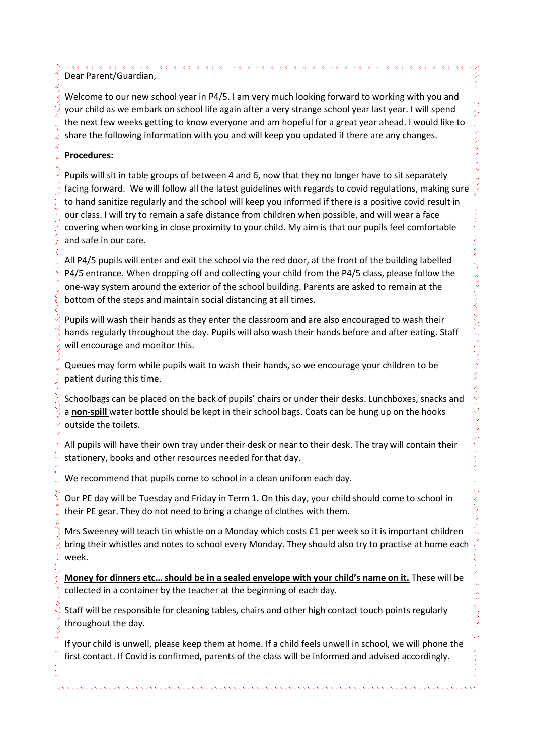Dear Parent/Guardian,

Welcome to our new school year in P4/5. I am very much looking forward to working with you and your child as we embark on school life again after a very strange school year last year. I will spend the next few weeks getting to know everyone and am hopeful for a great year ahead. I would like to share the following information with you and will keep you updated if there are any changes.

## **Procedures:**

Pupils will sit in table groups of between 4 and 6, now that they no longer have to sit separately facing forward. We will follow all the latest guidelines with regards to covid regulations, making sure to hand sanitize regularly and the school will keep you informed if there is a positive covid result in our class. I will try to remain a safe distance from children when possible, and will wear a face covering when working in close proximity to your child. My aim is that our pupils feel comfortable and safe in our care.

All P4/5 pupils will enter and exit the school via the red door, at the front of the building labelled P4/5 entrance. When dropping off and collecting your child from the P4/5 class, please follow the one-way system around the exterior of the school building. Parents are asked to remain at the bottom of the steps and maintain social distancing at all times.

Pupils will wash their hands as they enter the classroom and are also encouraged to wash their hands regularly throughout the day. Pupils will also wash their hands before and after eating. Staff will encourage and monitor this.

Queues may form while pupils wait to wash their hands, so we encourage your children to be patient during this time.

Schoolbags can be placed on the back of pupils' chairs or under their desks. Lunchboxes, snacks and a **non-spill** water bottle should be kept in their school bags. Coats can be hung up on the hooks outside the toilets.

All pupils will have their own tray under their desk or near to their desk. The tray will contain their stationery, books and other resources needed for that day.

We recommend that pupils come to school in a clean uniform each day.

Our PE day will be Tuesday and Friday in Term 1. On this day, your child should come to school in their PE gear. They do not need to bring a change of clothes with them.

Mrs Sweeney will teach tin whistle on a Monday which costs £1 per week so it is important children bring their whistles and notes to school every Monday. They should also try to practise at home each week.

**Money for dinners etc… should be in a sealed envelope with your child's name on it.** These will be collected in a container by the teacher at the beginning of each day.

Staff will be responsible for cleaning tables, chairs and other high contact touch points regularly throughout the day.

If your child is unwell, please keep them at home. If a child feels unwell in school, we will phone the first contact. If Covid is confirmed, parents of the class will be informed and advised accordingly.